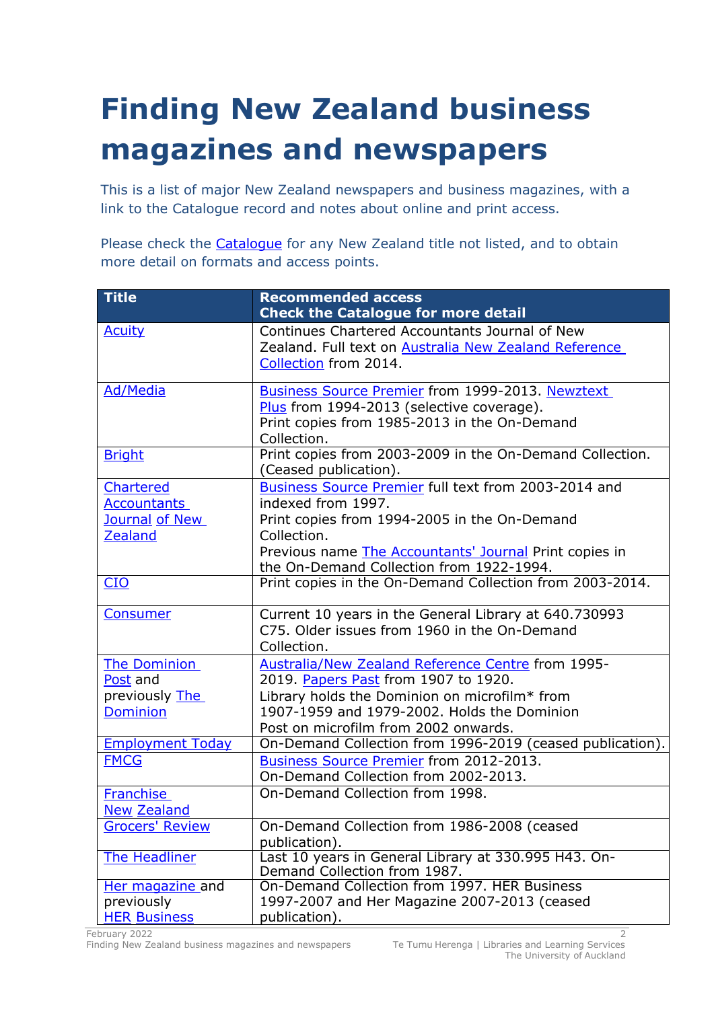## **Finding New Zealand business magazines and newspapers**

This is a list of major New Zealand newspapers and business magazines, with a link to the Catalogue record and notes about online and print access.

Please check the [Catalogue](https://catalogue.library.auckland.ac.nz/) for any New Zealand title not listed, and to obtain more detail on formats and access points.

| <b>Title</b>            | <b>Recommended access</b><br><b>Check the Catalogue for more detail</b>           |
|-------------------------|-----------------------------------------------------------------------------------|
| <b>Acuity</b>           | Continues Chartered Accountants Journal of New                                    |
|                         | Zealand. Full text on Australia New Zealand Reference                             |
|                         | Collection from 2014.                                                             |
| <b>Ad/Media</b>         | <b>Business Source Premier from 1999-2013. Newztext</b>                           |
|                         | Plus from 1994-2013 (selective coverage).                                         |
|                         | Print copies from 1985-2013 in the On-Demand                                      |
|                         | Collection.                                                                       |
| <b>Bright</b>           | Print copies from 2003-2009 in the On-Demand Collection.<br>(Ceased publication). |
| Chartered               | Business Source Premier full text from 2003-2014 and                              |
| <b>Accountants</b>      | indexed from 1997.                                                                |
| Journal of New          | Print copies from 1994-2005 in the On-Demand                                      |
| <b>Zealand</b>          | Collection.                                                                       |
|                         | Previous name The Accountants' Journal Print copies in                            |
|                         | the On-Demand Collection from 1922-1994.                                          |
| CIO                     | Print copies in the On-Demand Collection from 2003-2014.                          |
| <b>Consumer</b>         | Current 10 years in the General Library at 640.730993                             |
|                         | C75. Older issues from 1960 in the On-Demand                                      |
|                         | Collection.                                                                       |
| <b>The Dominion</b>     | Australia/New Zealand Reference Centre from 1995-                                 |
| Post and                | 2019. Papers Past from 1907 to 1920.                                              |
| previously The          | Library holds the Dominion on microfilm* from                                     |
| <b>Dominion</b>         | 1907-1959 and 1979-2002. Holds the Dominion                                       |
|                         | Post on microfilm from 2002 onwards.                                              |
| <b>Employment Today</b> | On-Demand Collection from 1996-2019 (ceased publication).                         |
| <b>FMCG</b>             | Business Source Premier from 2012-2013.                                           |
|                         | On-Demand Collection from 2002-2013.                                              |
| <b>Franchise</b>        | On-Demand Collection from 1998.                                                   |
| <b>New Zealand</b>      |                                                                                   |
| <b>Grocers' Review</b>  | On-Demand Collection from 1986-2008 (ceased<br>publication).                      |
| The Headliner           | Last 10 years in General Library at 330.995 H43. On-                              |
|                         | Demand Collection from 1987.                                                      |
| Her magazine and        | On-Demand Collection from 1997. HER Business                                      |
| previously              | 1997-2007 and Her Magazine 2007-2013 (ceased                                      |
| <b>HER Business</b>     | publication).                                                                     |

February 2022 Finding New Zealand business magazines and newspapers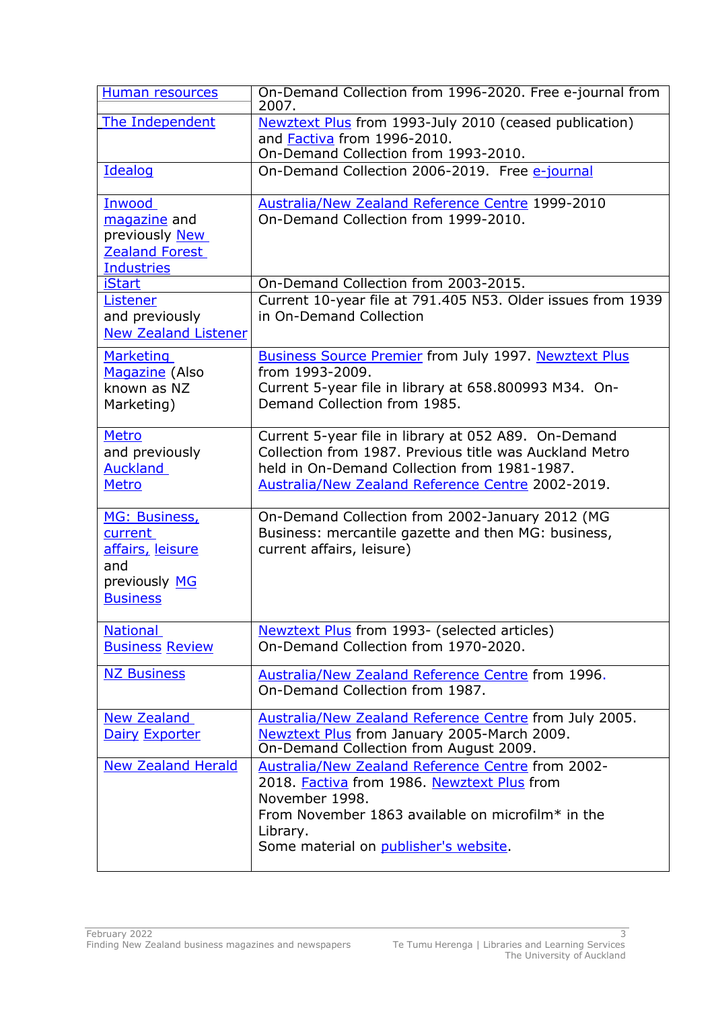| Human resources                                                                                | On-Demand Collection from 1996-2020. Free e-journal from<br>2007.                                                                                                                                                            |
|------------------------------------------------------------------------------------------------|------------------------------------------------------------------------------------------------------------------------------------------------------------------------------------------------------------------------------|
| The Independent                                                                                | Newztext Plus from 1993-July 2010 (ceased publication)<br>and Factiva from 1996-2010.<br>On-Demand Collection from 1993-2010.                                                                                                |
| Idealog                                                                                        | On-Demand Collection 2006-2019. Free e-journal                                                                                                                                                                               |
| <b>Inwood</b><br>magazine and<br>previously New<br><b>Zealand Forest</b><br><b>Industries</b>  | Australia/New Zealand Reference Centre 1999-2010<br>On-Demand Collection from 1999-2010.                                                                                                                                     |
| <b>iStart</b><br>Listener                                                                      | On-Demand Collection from 2003-2015.<br>Current 10-year file at 791.405 N53. Older issues from 1939                                                                                                                          |
| and previously<br><b>New Zealand Listener</b>                                                  | in On-Demand Collection                                                                                                                                                                                                      |
| <b>Marketing</b><br>Magazine (Also<br>known as NZ<br>Marketing)                                | <b>Business Source Premier from July 1997. Newztext Plus</b><br>from 1993-2009.<br>Current 5-year file in library at 658.800993 M34. On-<br>Demand Collection from 1985.                                                     |
| <b>Metro</b><br>and previously<br><b>Auckland</b><br><b>Metro</b>                              | Current 5-year file in library at 052 A89. On-Demand<br>Collection from 1987. Previous title was Auckland Metro<br>held in On-Demand Collection from 1981-1987.<br><b>Australia/New Zealand Reference Centre 2002-2019.</b>  |
| MG: Business,<br>current<br><u>affairs, leisure</u><br>and<br>previously MG<br><b>Business</b> | On-Demand Collection from 2002-January 2012 (MG<br>Business: mercantile gazette and then MG: business,<br>current affairs, leisure)                                                                                          |
| <b>National</b><br><b>Business Review</b>                                                      | Newztext Plus from 1993- (selected articles)<br>On-Demand Collection from 1970-2020.                                                                                                                                         |
| <b>NZ Business</b>                                                                             | Australia/New Zealand Reference Centre from 1996.<br>On-Demand Collection from 1987.                                                                                                                                         |
| <b>New Zealand</b><br><b>Dairy Exporter</b>                                                    | Australia/New Zealand Reference Centre from July 2005.<br>Newztext Plus from January 2005-March 2009.<br>On-Demand Collection from August 2009.                                                                              |
| <b>New Zealand Herald</b>                                                                      | Australia/New Zealand Reference Centre from 2002-<br>2018. Factiva from 1986. Newztext Plus from<br>November 1998.<br>From November 1863 available on microfilm* in the<br>Library.<br>Some material on publisher's website. |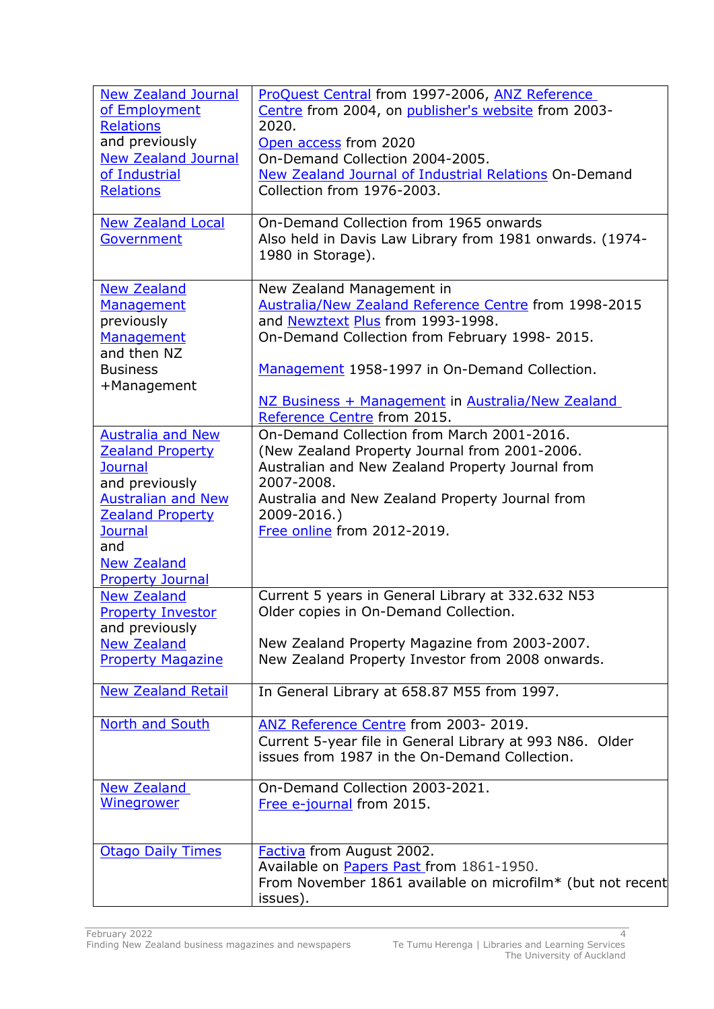| <b>New Zealand Journal</b> | ProQuest Central from 1997-2006, ANZ Reference                                                            |
|----------------------------|-----------------------------------------------------------------------------------------------------------|
| of Employment              | Centre from 2004, on publisher's website from 2003-                                                       |
| <b>Relations</b>           | 2020.                                                                                                     |
| and previously             | Open access from 2020                                                                                     |
| <b>New Zealand Journal</b> | On-Demand Collection 2004-2005.                                                                           |
| of Industrial              | <b>New Zealand Journal of Industrial Relations On-Demand</b>                                              |
| <b>Relations</b>           | Collection from 1976-2003.                                                                                |
|                            |                                                                                                           |
| <b>New Zealand Local</b>   | On-Demand Collection from 1965 onwards                                                                    |
| Government                 | Also held in Davis Law Library from 1981 onwards. (1974-                                                  |
|                            | 1980 in Storage).                                                                                         |
|                            |                                                                                                           |
| <b>New Zealand</b>         | New Zealand Management in                                                                                 |
| Management                 | Australia/New Zealand Reference Centre from 1998-2015                                                     |
| previously                 | and Newztext Plus from 1993-1998.                                                                         |
| Management                 | On-Demand Collection from February 1998-2015.                                                             |
| and then NZ                |                                                                                                           |
| <b>Business</b>            | Management 1958-1997 in On-Demand Collection.                                                             |
|                            |                                                                                                           |
| +Management                | NZ Business + Management in Australia/New Zealand                                                         |
|                            | Reference Centre from 2015.                                                                               |
| <b>Australia and New</b>   | On-Demand Collection from March 2001-2016.                                                                |
|                            |                                                                                                           |
| <b>Zealand Property</b>    | (New Zealand Property Journal from 2001-2006.                                                             |
| <b>Journal</b>             | Australian and New Zealand Property Journal from                                                          |
| and previously             | 2007-2008.                                                                                                |
| <b>Australian and New</b>  | Australia and New Zealand Property Journal from                                                           |
| <b>Zealand Property</b>    | 2009-2016.)                                                                                               |
| <b>Journal</b><br>and      | Free online from 2012-2019.                                                                               |
|                            |                                                                                                           |
| <b>New Zealand</b>         |                                                                                                           |
| <b>Property Journal</b>    |                                                                                                           |
| <b>New Zealand</b>         | Current 5 years in General Library at 332.632 N53                                                         |
| <b>Property Investor</b>   | Older copies in On-Demand Collection.                                                                     |
| and previously             |                                                                                                           |
| <b>New Zealand</b>         | New Zealand Property Magazine from 2003-2007.                                                             |
| <b>Property Magazine</b>   | New Zealand Property Investor from 2008 onwards.                                                          |
| <b>New Zealand Retail</b>  | In General Library at 658.87 M55 from 1997.                                                               |
|                            |                                                                                                           |
| North and South            | ANZ Reference Centre from 2003-2019.                                                                      |
|                            |                                                                                                           |
|                            | Current 5-year file in General Library at 993 N86. Older<br>issues from 1987 in the On-Demand Collection. |
|                            |                                                                                                           |
| <b>New Zealand</b>         | On-Demand Collection 2003-2021.                                                                           |
| <u>Winegrower</u>          | Free e-journal from 2015.                                                                                 |
|                            |                                                                                                           |
|                            |                                                                                                           |
| <b>Otago Daily Times</b>   | Factiva from August 2002.                                                                                 |
|                            | Available on Papers Past from 1861-1950.                                                                  |
|                            | From November 1861 available on microfilm* (but not recent                                                |
|                            | issues).                                                                                                  |
|                            |                                                                                                           |